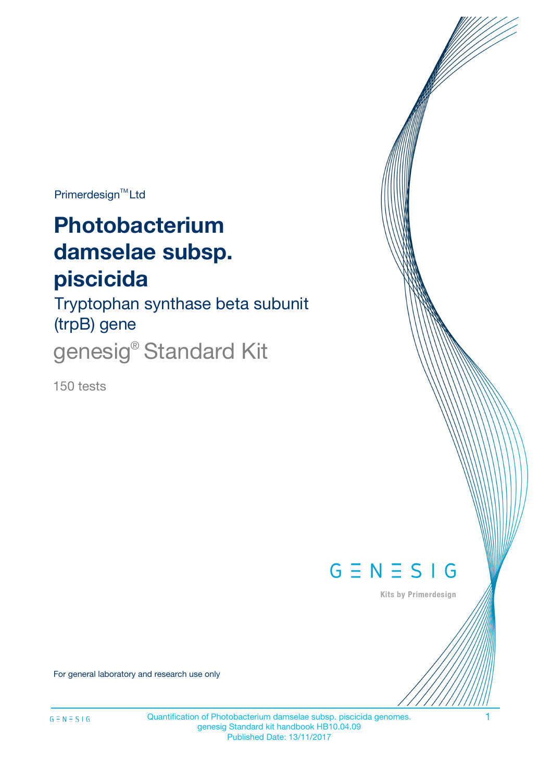Primerdesign<sup>™</sup>Ltd

# **Photobacterium damselae subsp. piscicida**

Tryptophan synthase beta subunit (trpB) gene genesig® Standard Kit

150 tests



Kits by Primerdesign

For general laboratory and research use only

Quantification of Photobacterium damselae subsp. piscicida genomes. 1 genesig Standard kit handbook HB10.04.09 Published Date: 13/11/2017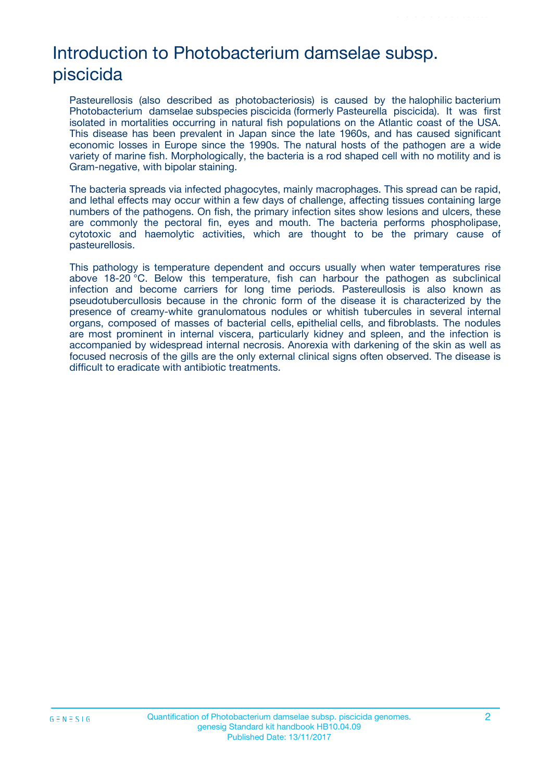# Introduction to Photobacterium damselae subsp. piscicida

Pasteurellosis (also described as photobacteriosis) is caused by the halophilic bacterium Photobacterium damselae subspecies piscicida (formerly Pasteurella piscicida). It was first isolated in mortalities occurring in natural fish populations on the Atlantic coast of the USA. This disease has been prevalent in Japan since the late 1960s, and has caused significant economic losses in Europe since the 1990s. The natural hosts of the pathogen are a wide variety of marine fish. Morphologically, the bacteria is a rod shaped cell with no motility and is Gram-negative, with bipolar staining.

The bacteria spreads via infected phagocytes, mainly macrophages. This spread can be rapid, and lethal effects may occur within a few days of challenge, affecting tissues containing large numbers of the pathogens. On fish, the primary infection sites show lesions and ulcers, these are commonly the pectoral fin, eyes and mouth. The bacteria performs phospholipase, cytotoxic and haemolytic activities, which are thought to be the primary cause of pasteurellosis.

This pathology is temperature dependent and occurs usually when water temperatures rise above 18-20 °C. Below this temperature, fish can harbour the pathogen as subclinical infection and become carriers for long time periods. Pastereullosis is also known as pseudotubercullosis because in the chronic form of the disease it is characterized by the presence of creamy-white granulomatous nodules or whitish tubercules in several internal organs, composed of masses of bacterial cells, epithelial cells, and fibroblasts. The nodules are most prominent in internal viscera, particularly kidney and spleen, and the infection is accompanied by widespread internal necrosis. Anorexia with darkening of the skin as well as focused necrosis of the gills are the only external clinical signs often observed. The disease is difficult to eradicate with antibiotic treatments.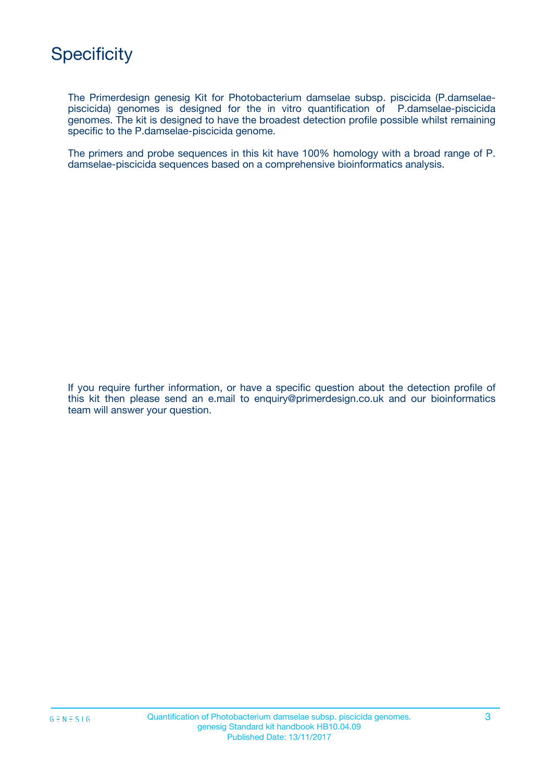The Primerdesign genesig Kit for Photobacterium damselae subsp. piscicida (P.damselaepiscicida) genomes is designed for the in vitro quantification of P.damselae-piscicida genomes. The kit is designed to have the broadest detection profile possible whilst remaining specific to the P.damselae-piscicida genome.

The primers and probe sequences in this kit have 100% homology with a broad range of P. damselae-piscicida sequences based on a comprehensive bioinformatics analysis.

If you require further information, or have a specific question about the detection profile of this kit then please send an e.mail to enquiry@primerdesign.co.uk and our bioinformatics team will answer your question.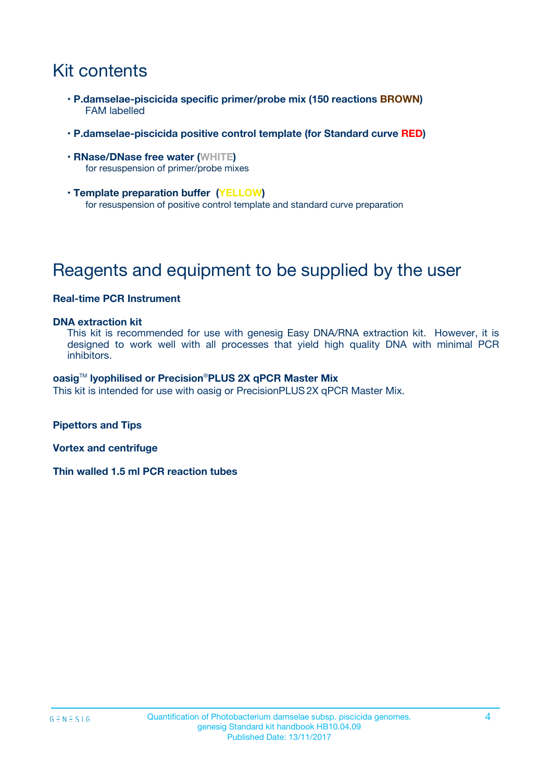# Kit contents

- **P.damselae-piscicida specific primer/probe mix (150 reactions BROWN)** FAM labelled
- **P.damselae-piscicida positive control template (for Standard curve RED)**
- **RNase/DNase free water (WHITE)** for resuspension of primer/probe mixes
- **Template preparation buffer (YELLOW)** for resuspension of positive control template and standard curve preparation

# Reagents and equipment to be supplied by the user

#### **Real-time PCR Instrument**

#### **DNA extraction kit**

This kit is recommended for use with genesig Easy DNA/RNA extraction kit. However, it is designed to work well with all processes that yield high quality DNA with minimal PCR inhibitors.

#### **oasig**TM **lyophilised or Precision**®**PLUS 2X qPCR Master Mix**

This kit is intended for use with oasig or PrecisionPLUS2X qPCR Master Mix.

**Pipettors and Tips**

**Vortex and centrifuge**

**Thin walled 1.5 ml PCR reaction tubes**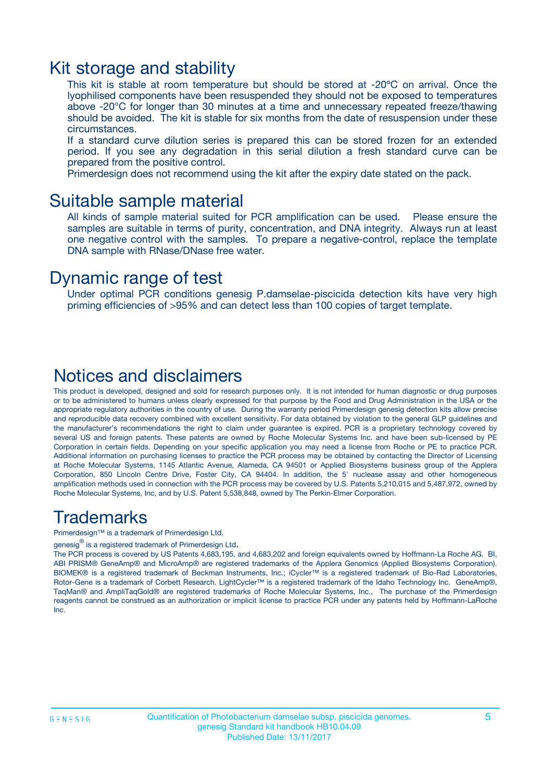### Kit storage and stability

This kit is stable at room temperature but should be stored at -20ºC on arrival. Once the lyophilised components have been resuspended they should not be exposed to temperatures above -20°C for longer than 30 minutes at a time and unnecessary repeated freeze/thawing should be avoided. The kit is stable for six months from the date of resuspension under these circumstances.

If a standard curve dilution series is prepared this can be stored frozen for an extended period. If you see any degradation in this serial dilution a fresh standard curve can be prepared from the positive control.

Primerdesign does not recommend using the kit after the expiry date stated on the pack.

### Suitable sample material

All kinds of sample material suited for PCR amplification can be used. Please ensure the samples are suitable in terms of purity, concentration, and DNA integrity. Always run at least one negative control with the samples. To prepare a negative-control, replace the template DNA sample with RNase/DNase free water.

### Dynamic range of test

Under optimal PCR conditions genesig P.damselae-piscicida detection kits have very high priming efficiencies of >95% and can detect less than 100 copies of target template.

### Notices and disclaimers

This product is developed, designed and sold for research purposes only. It is not intended for human diagnostic or drug purposes or to be administered to humans unless clearly expressed for that purpose by the Food and Drug Administration in the USA or the appropriate regulatory authorities in the country of use. During the warranty period Primerdesign genesig detection kits allow precise and reproducible data recovery combined with excellent sensitivity. For data obtained by violation to the general GLP guidelines and the manufacturer's recommendations the right to claim under guarantee is expired. PCR is a proprietary technology covered by several US and foreign patents. These patents are owned by Roche Molecular Systems Inc. and have been sub-licensed by PE Corporation in certain fields. Depending on your specific application you may need a license from Roche or PE to practice PCR. Additional information on purchasing licenses to practice the PCR process may be obtained by contacting the Director of Licensing at Roche Molecular Systems, 1145 Atlantic Avenue, Alameda, CA 94501 or Applied Biosystems business group of the Applera Corporation, 850 Lincoln Centre Drive, Foster City, CA 94404. In addition, the 5' nuclease assay and other homogeneous amplification methods used in connection with the PCR process may be covered by U.S. Patents 5,210,015 and 5,487,972, owned by Roche Molecular Systems, Inc, and by U.S. Patent 5,538,848, owned by The Perkin-Elmer Corporation.

### Trademarks

Primerdesign™ is a trademark of Primerdesign Ltd.

genesig $^\circledR$  is a registered trademark of Primerdesign Ltd.

The PCR process is covered by US Patents 4,683,195, and 4,683,202 and foreign equivalents owned by Hoffmann-La Roche AG. BI, ABI PRISM® GeneAmp® and MicroAmp® are registered trademarks of the Applera Genomics (Applied Biosystems Corporation). BIOMEK® is a registered trademark of Beckman Instruments, Inc.; iCycler™ is a registered trademark of Bio-Rad Laboratories, Rotor-Gene is a trademark of Corbett Research. LightCycler™ is a registered trademark of the Idaho Technology Inc. GeneAmp®, TaqMan® and AmpliTaqGold® are registered trademarks of Roche Molecular Systems, Inc., The purchase of the Primerdesign reagents cannot be construed as an authorization or implicit license to practice PCR under any patents held by Hoffmann-LaRoche Inc.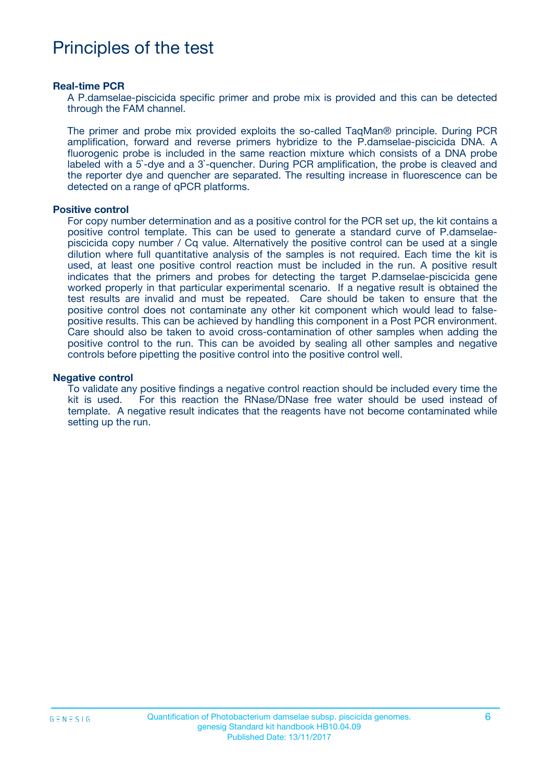# Principles of the test

#### **Real-time PCR**

A P.damselae-piscicida specific primer and probe mix is provided and this can be detected through the FAM channel.

The primer and probe mix provided exploits the so-called TaqMan® principle. During PCR amplification, forward and reverse primers hybridize to the P.damselae-piscicida DNA. A fluorogenic probe is included in the same reaction mixture which consists of a DNA probe labeled with a 5`-dye and a 3`-quencher. During PCR amplification, the probe is cleaved and the reporter dye and quencher are separated. The resulting increase in fluorescence can be detected on a range of qPCR platforms.

#### **Positive control**

For copy number determination and as a positive control for the PCR set up, the kit contains a positive control template. This can be used to generate a standard curve of P.damselaepiscicida copy number / Cq value. Alternatively the positive control can be used at a single dilution where full quantitative analysis of the samples is not required. Each time the kit is used, at least one positive control reaction must be included in the run. A positive result indicates that the primers and probes for detecting the target P.damselae-piscicida gene worked properly in that particular experimental scenario. If a negative result is obtained the test results are invalid and must be repeated. Care should be taken to ensure that the positive control does not contaminate any other kit component which would lead to falsepositive results. This can be achieved by handling this component in a Post PCR environment. Care should also be taken to avoid cross-contamination of other samples when adding the positive control to the run. This can be avoided by sealing all other samples and negative controls before pipetting the positive control into the positive control well.

#### **Negative control**

To validate any positive findings a negative control reaction should be included every time the kit is used. For this reaction the RNase/DNase free water should be used instead of template. A negative result indicates that the reagents have not become contaminated while setting up the run.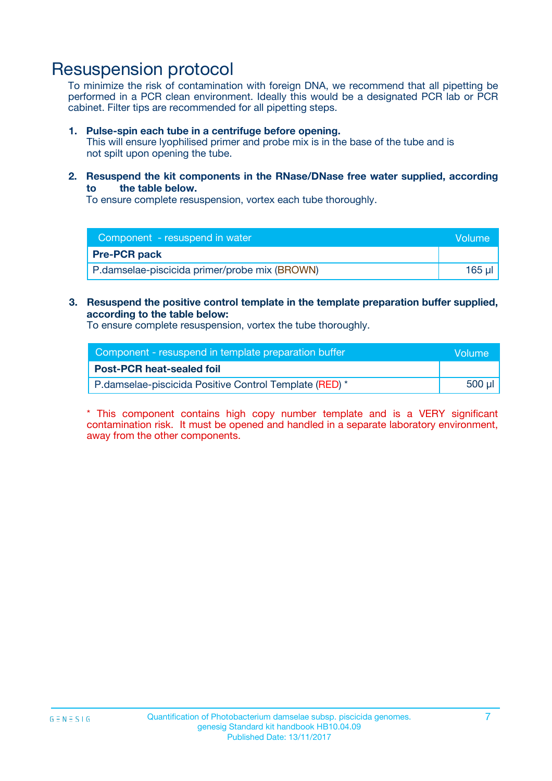### Resuspension protocol

To minimize the risk of contamination with foreign DNA, we recommend that all pipetting be performed in a PCR clean environment. Ideally this would be a designated PCR lab or PCR cabinet. Filter tips are recommended for all pipetting steps.

#### **1. Pulse-spin each tube in a centrifuge before opening.**

This will ensure lyophilised primer and probe mix is in the base of the tube and is not spilt upon opening the tube.

#### **2. Resuspend the kit components in the RNase/DNase free water supplied, according to the table below.**

To ensure complete resuspension, vortex each tube thoroughly.

| Component - resuspend in water                | <b>Volume</b> |
|-----------------------------------------------|---------------|
| <b>Pre-PCR pack</b>                           |               |
| P.damselae-piscicida primer/probe mix (BROWN) | 165 ul        |

#### **3. Resuspend the positive control template in the template preparation buffer supplied, according to the table below:**

To ensure complete resuspension, vortex the tube thoroughly.

| Component - resuspend in template preparation buffer   |        |  |
|--------------------------------------------------------|--------|--|
| <b>Post-PCR heat-sealed foil</b>                       |        |  |
| P.damselae-piscicida Positive Control Template (RED) * | 500 µl |  |

\* This component contains high copy number template and is a VERY significant contamination risk. It must be opened and handled in a separate laboratory environment, away from the other components.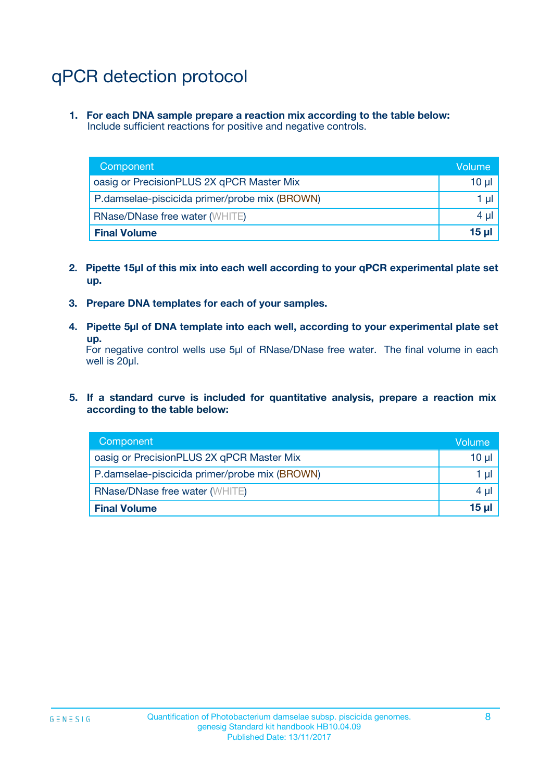# qPCR detection protocol

**1. For each DNA sample prepare a reaction mix according to the table below:** Include sufficient reactions for positive and negative controls.

| Component                                     | Volume   |
|-----------------------------------------------|----------|
| oasig or PrecisionPLUS 2X qPCR Master Mix     | $10 \mu$ |
| P.damselae-piscicida primer/probe mix (BROWN) | 1 µl     |
| <b>RNase/DNase free water (WHITE)</b>         | $4 \mu$  |
| <b>Final Volume</b>                           | 15 ul    |

- **2. Pipette 15µl of this mix into each well according to your qPCR experimental plate set up.**
- **3. Prepare DNA templates for each of your samples.**
- **4. Pipette 5µl of DNA template into each well, according to your experimental plate set up.**

For negative control wells use 5µl of RNase/DNase free water. The final volume in each well is 20µl.

**5. If a standard curve is included for quantitative analysis, prepare a reaction mix according to the table below:**

| Component                                     | Volume   |
|-----------------------------------------------|----------|
| oasig or PrecisionPLUS 2X qPCR Master Mix     | $10 \mu$ |
| P.damselae-piscicida primer/probe mix (BROWN) | 1 µI     |
| <b>RNase/DNase free water (WHITE)</b>         | $4 \mu$  |
| <b>Final Volume</b>                           | 15 µl    |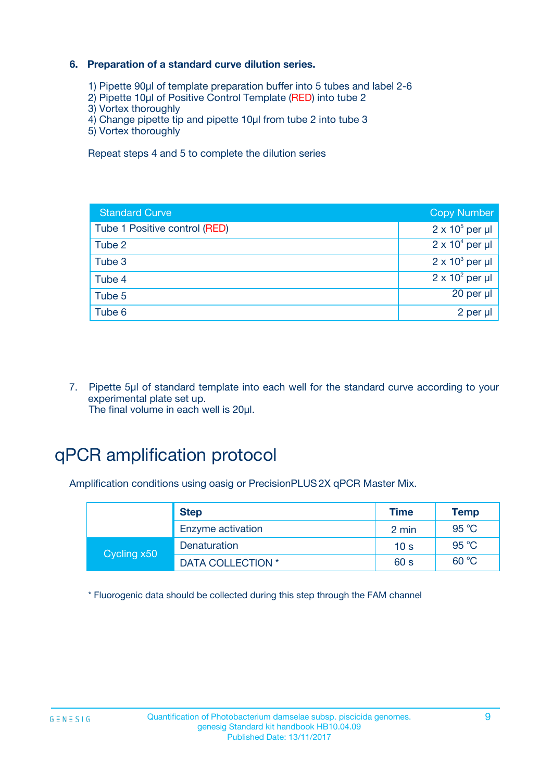#### **6. Preparation of a standard curve dilution series.**

- 1) Pipette 90µl of template preparation buffer into 5 tubes and label 2-6
- 2) Pipette 10µl of Positive Control Template (RED) into tube 2
- 3) Vortex thoroughly
- 4) Change pipette tip and pipette 10µl from tube 2 into tube 3
- 5) Vortex thoroughly

Repeat steps 4 and 5 to complete the dilution series

| <b>Standard Curve</b>         | <b>Copy Number</b>     |
|-------------------------------|------------------------|
| Tube 1 Positive control (RED) | $2 \times 10^5$ per µl |
| Tube 2                        | $2 \times 10^4$ per µl |
| Tube 3                        | $2 \times 10^3$ per µl |
| Tube 4                        | $2 \times 10^2$ per µl |
| Tube 5                        | $20$ per $\mu$         |
| Tube 6                        | 2 per µl               |

7. Pipette 5µl of standard template into each well for the standard curve according to your experimental plate set up. The final volume in each well is 20µl.

# qPCR amplification protocol

Amplification conditions using oasig or PrecisionPLUS2X qPCR Master Mix.

| <b>Step</b> |                   | <b>Time</b>     | <b>Temp</b> |
|-------------|-------------------|-----------------|-------------|
|             | Enzyme activation | 2 min           | 95 °C       |
| Cycling x50 | Denaturation      | 10 <sub>s</sub> | 95 °C       |
|             | DATA COLLECTION * | 60 s            | 60 °C       |

\* Fluorogenic data should be collected during this step through the FAM channel